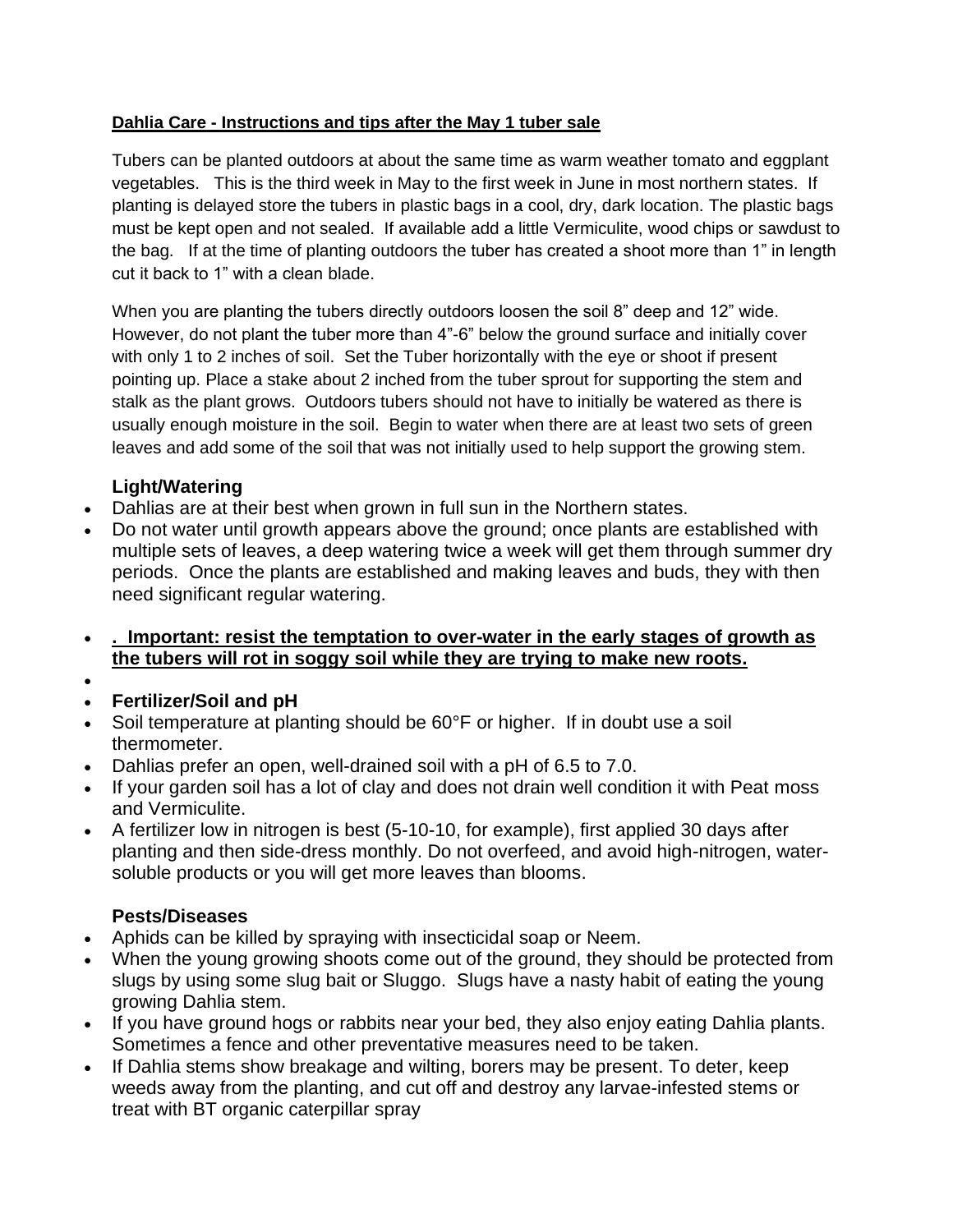## **Dahlia Care - Instructions and tips after the May 1 tuber sale**

Tubers can be planted outdoors at about the same time as warm weather tomato and eggplant vegetables. This is the third week in May to the first week in June in most northern states. If planting is delayed store the tubers in plastic bags in a cool, dry, dark location. The plastic bags must be kept open and not sealed. If available add a little Vermiculite, wood chips or sawdust to the bag. If at the time of planting outdoors the tuber has created a shoot more than 1" in length cut it back to 1" with a clean blade.

When you are planting the tubers directly outdoors loosen the soil 8" deep and 12" wide. However, do not plant the tuber more than 4"-6" below the ground surface and initially cover with only 1 to 2 inches of soil. Set the Tuber horizontally with the eye or shoot if present pointing up. Place a stake about 2 inched from the tuber sprout for supporting the stem and stalk as the plant grows. Outdoors tubers should not have to initially be watered as there is usually enough moisture in the soil. Begin to water when there are at least two sets of green leaves and add some of the soil that was not initially used to help support the growing stem.

## **Light/Watering**

- Dahlias are at their best when grown in full sun in the Northern states.
- Do not water until growth appears above the ground; once plants are established with multiple sets of leaves, a deep watering twice a week will get them through summer dry periods. Once the plants are established and making leaves and buds, they with then need significant regular watering.
- **. Important: resist the temptation to over-water in the early stages of growth as the tubers will rot in soggy soil while they are trying to make new roots.**
- •

## • **Fertilizer/Soil and pH**

- Soil temperature at planting should be 60°F or higher. If in doubt use a soil thermometer.
- Dahlias prefer an open, well-drained soil with a pH of 6.5 to 7.0.
- If your garden soil has a lot of clay and does not drain well condition it with Peat moss and Vermiculite.
- A fertilizer low in nitrogen is best (5-10-10, for example), first applied 30 days after planting and then side-dress monthly. Do not overfeed, and avoid high-nitrogen, watersoluble products or you will get more leaves than blooms.

## **Pests/Diseases**

- Aphids can be killed by spraying with insecticidal soap or Neem.
- When the young growing shoots come out of the ground, they should be protected from slugs by using some slug bait or Sluggo. Slugs have a nasty habit of eating the young growing Dahlia stem.
- If you have ground hogs or rabbits near your bed, they also enjoy eating Dahlia plants. Sometimes a fence and other preventative measures need to be taken.
- If Dahlia stems show breakage and wilting, borers may be present. To deter, keep weeds away from the planting, and cut off and destroy any larvae-infested stems or treat with BT organic caterpillar spray